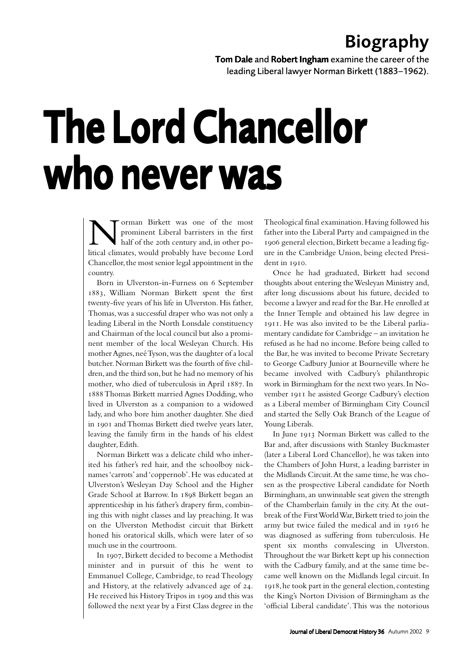## Biography

Tom Dale and Robert Ingham examine the career of the leading Liberal lawyer Norman Birkett (1883–1962).

## The Lord Chancellor who never was

**Norman Birkett was one of the most** prominent Liberal barristers in the first half of the 20th century and, in other political climates, would probably have become Lord prominent Liberal barristers in the first half of the 20th century and, in other po-Chancellor, the most senior legal appointment in the country.

Born in Ulverston-in-Furness on 6 September , William Norman Birkett spent the first twenty-five years of his life in Ulverston. His father, Thomas, was a successful draper who was not only a leading Liberal in the North Lonsdale constituency and Chairman of the local council but also a prominent member of the local Wesleyan Church. His mother Agnes, neé Tyson, was the daughter of a local butcher. Norman Birkett was the fourth of five children, and the third son, but he had no memory of his mother, who died of tuberculosis in April 1887. In Thomas Birkett married Agnes Dodding, who lived in Ulverston as a companion to a widowed lady, and who bore him another daughter. She died in 1901 and Thomas Birkett died twelve years later, leaving the family firm in the hands of his eldest daughter, Edith.

Norman Birkett was a delicate child who inherited his father's red hair, and the schoolboy nicknames 'carrots' and 'coppernob'. He was educated at Ulverston's Wesleyan Day School and the Higher Grade School at Barrow. In 1898 Birkett began an apprenticeship in his father's drapery firm, combining this with night classes and lay preaching. It was on the Ulverston Methodist circuit that Birkett honed his oratorical skills, which were later of so much use in the courtroom.

In 1907, Birkett decided to become a Methodist minister and in pursuit of this he went to Emmanuel College, Cambridge, to read Theology and History, at the relatively advanced age of 24. He received his History Tripos in 1909 and this was followed the next year by a First Class degree in the

Theological final examination. Having followed his father into the Liberal Party and campaigned in the 1906 general election, Birkett became a leading figure in the Cambridge Union, being elected President in 1910.

Once he had graduated, Birkett had second thoughts about entering the Wesleyan Ministry and, after long discussions about his future, decided to become a lawyer and read for the Bar. He enrolled at the Inner Temple and obtained his law degree in . He was also invited to be the Liberal parliamentary candidate for Cambridge – an invitation he refused as he had no income. Before being called to the Bar, he was invited to become Private Secretary to George Cadbury Junior at Bourneville where he became involved with Cadbury's philanthropic work in Birmingham for the next two years. In November 1911 he assisted George Cadbury's election as a Liberal member of Birmingham City Council and started the Selly Oak Branch of the League of Young Liberals.

In June 1913 Norman Birkett was called to the Bar and, after discussions with Stanley Buckmaster (later a Liberal Lord Chancellor), he was taken into the Chambers of John Hurst, a leading barrister in the Midlands Circuit. At the same time, he was chosen as the prospective Liberal candidate for North Birmingham, an unwinnable seat given the strength of the Chamberlain family in the city. At the outbreak of the First World War, Birkett tried to join the army but twice failed the medical and in 1916 he was diagnosed as suffering from tuberculosis. He spent six months convalescing in Ulverston. Throughout the war Birkett kept up his connection with the Cadbury family, and at the same time became well known on the Midlands legal circuit. In 1918, he took part in the general election, contesting the King's Norton Division of Birmingham as the 'official Liberal candidate'. This was the notorious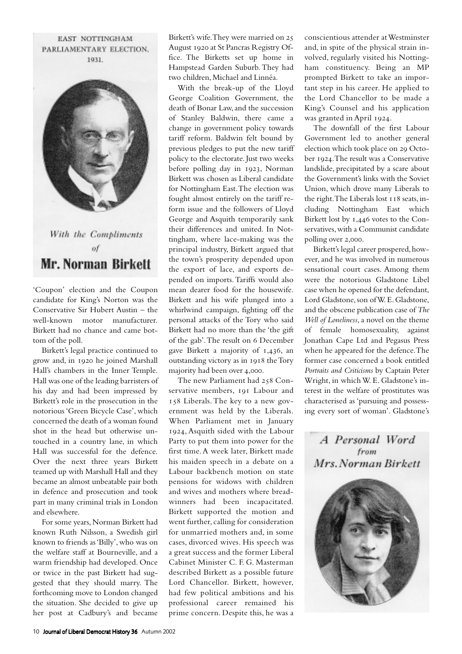EAST NOTTINGHAM PARLIAMENTARY ELECTION. 1031



'Coupon' election and the Coupon candidate for King's Norton was the Conservative Sir Hubert Austin – the well-known motor manufacturer. Birkett had no chance and came bottom of the poll.

Birkett's legal practice continued to grow and, in 1920 he joined Marshall Hall's chambers in the Inner Temple. Hall was one of the leading barristers of his day and had been impressed by Birkett's role in the prosecution in the notorious 'Green Bicycle Case', which concerned the death of a woman found shot in the head but otherwise untouched in a country lane, in which Hall was successful for the defence. Over the next three years Birkett teamed up with Marshall Hall and they became an almost unbeatable pair both in defence and prosecution and took part in many criminal trials in London and elsewhere.

For some years, Norman Birkett had known Ruth Nilsson, a Swedish girl known to friends as 'Billy', who was on the welfare staff at Bourneville, and a warm friendship had developed. Once or twice in the past Birkett had suggested that they should marry. The forthcoming move to London changed the situation. She decided to give up her post at Cadbury's and became

Birkett's wife. They were married on 25 August 1920 at St Pancras Registry Office. The Birketts set up home in Hampstead Garden Suburb. They had two children, Michael and Linnéa.

With the break-up of the Lloyd George Coalition Government, the death of Bonar Law, and the succession of Stanley Baldwin, there came a change in government policy towards tariff reform. Baldwin felt bound by previous pledges to put the new tariff policy to the electorate. Just two weeks before polling day in 1923, Norman Birkett was chosen as Liberal candidate for Nottingham East. The election was fought almost entirely on the tariff reform issue and the followers of Lloyd George and Asquith temporarily sank their differences and united. In Nottingham, where lace-making was the principal industry, Birkett argued that the town's prosperity depended upon the export of lace, and exports depended on imports. Tariffs would also mean dearer food for the housewife. Birkett and his wife plunged into a whirlwind campaign, fighting off the personal attacks of the Tory who said Birkett had no more than the 'the gift of the gab'. The result on December gave Birkett a majority of  $1,436$ , an outstanding victory as in 1918 the Tory majority had been over 4,000.

The new Parliament had 258 Conservative members, 191 Labour and 158 Liberals. The key to a new government was held by the Liberals. When Parliament met in January 1924, Asquith sided with the Labour Party to put them into power for the first time. A week later, Birkett made his maiden speech in a debate on a Labour backbench motion on state pensions for widows with children and wives and mothers where breadwinners had been incapacitated. Birkett supported the motion and went further, calling for consideration for unmarried mothers and, in some cases, divorced wives. His speech was a great success and the former Liberal Cabinet Minister C. F. G. Masterman described Birkett as a possible future Lord Chancellor. Birkett, however, had few political ambitions and his professional career remained his prime concern. Despite this, he was a conscientious attender at Westminster and, in spite of the physical strain involved, regularly visited his Nottingham constituency. Being an MP prompted Birkett to take an important step in his career. He applied to the Lord Chancellor to be made a King's Counsel and his application was granted in April 1924.

The downfall of the first Labour Government led to another general election which took place on 29 October 1924. The result was a Conservative landslide, precipitated by a scare about the Government's links with the Soviet Union, which drove many Liberals to the right. The Liberals lost  $118$  seats, including Nottingham East which Birkett lost by 1,446 votes to the Conservatives, with a Communist candidate polling over 2,000.

Birkett's legal career prospered, however, and he was involved in numerous sensational court cases. Among them were the notorious Gladstone Libel case when he opened for the defendant, Lord Gladstone, son of W. E. Gladstone, and the obscene publication case of *The Well of Loneliness*, a novel on the theme of female homosexuality, against Jonathan Cape Ltd and Pegasus Press when he appeared for the defence. The former case concerned a book entitled *Portraits and Criticisms* by Captain Peter Wright, in which W. E. Gladstone's interest in the welfare of prostitutes was characterised as 'pursuing and possessing every sort of woman'. Gladstone's



A Personal Word from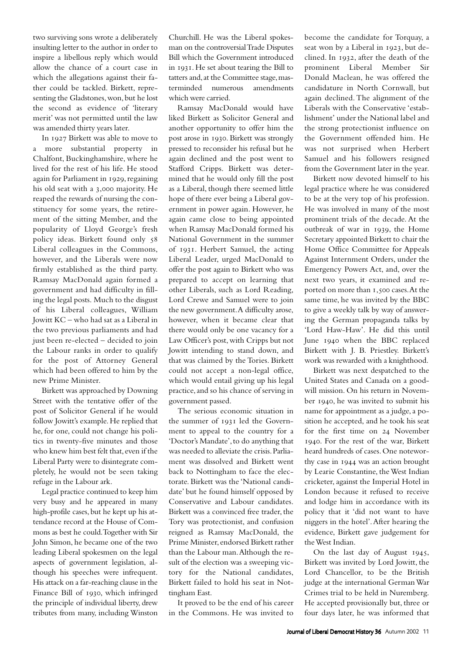two surviving sons wrote a deliberately insulting letter to the author in order to inspire a libellous reply which would allow the chance of a court case in which the allegations against their father could be tackled. Birkett, representing the Gladstones, won, but he lost the second as evidence of 'literary merit' was not permitted until the law was amended thirty years later.

In 1927 Birkett was able to move to a more substantial property in Chalfont, Buckinghamshire, where he lived for the rest of his life. He stood again for Parliament in 1929, regaining his old seat with a 3,000 majority. He reaped the rewards of nursing the constituency for some years, the retirement of the sitting Member, and the popularity of Lloyd George's fresh policy ideas. Birkett found only Liberal colleagues in the Commons, however, and the Liberals were now firmly established as the third party. Ramsay MacDonald again formed a government and had difficulty in filling the legal posts. Much to the disgust of his Liberal colleagues, William Jowitt KC – who had sat as a Liberal in the two previous parliaments and had just been re-elected – decided to join the Labour ranks in order to qualify for the post of Attorney General which had been offered to him by the new Prime Minister.

Birkett was approached by Downing Street with the tentative offer of the post of Solicitor General if he would follow Jowitt's example. He replied that he, for one, could not change his politics in twenty-five minutes and those who knew him best felt that, even if the Liberal Party were to disintegrate completely, he would not be seen taking refuge in the Labour ark.

Legal practice continued to keep him very busy and he appeared in many high-profile cases, but he kept up his attendance record at the House of Commons as best he could. Together with Sir John Simon, he became one of the two leading Liberal spokesmen on the legal aspects of government legislation, although his speeches were infrequent. His attack on a far-reaching clause in the Finance Bill of 1930, which infringed the principle of individual liberty, drew tributes from many, including Winston

Churchill. He was the Liberal spokesman on the controversial Trade Disputes Bill which the Government introduced in 1931. He set about tearing the Bill to tatters and, at the Committee stage, masterminded numerous amendments which were carried.

Ramsay MacDonald would have liked Birkett as Solicitor General and another opportunity to offer him the post arose in 1930. Birkett was strongly pressed to reconsider his refusal but he again declined and the post went to Stafford Cripps. Birkett was determined that he would only fill the post as a Liberal, though there seemed little hope of there ever being a Liberal government in power again. However, he again came close to being appointed when Ramsay MacDonald formed his National Government in the summer of 1931. Herbert Samuel, the acting Liberal Leader, urged MacDonald to offer the post again to Birkett who was prepared to accept on learning that other Liberals, such as Lord Reading, Lord Crewe and Samuel were to join the new government. A difficulty arose, however, when it became clear that there would only be one vacancy for a Law Officer's post, with Cripps but not Jowitt intending to stand down, and that was claimed by the Tories. Birkett could not accept a non-legal office, which would entail giving up his legal practice, and so his chance of serving in government passed.

The serious economic situation in the summer of 1931 led the Government to appeal to the country for a 'Doctor's Mandate', to do anything that was needed to alleviate the crisis. Parliament was dissolved and Birkett went back to Nottingham to face the electorate. Birkett was the 'National candidate' but he found himself opposed by Conservative and Labour candidates. Birkett was a convinced free trader, the Tory was protectionist, and confusion reigned as Ramsay MacDonald, the Prime Minister, endorsed Birkett rather than the Labour man. Although the result of the election was a sweeping victory for the National candidates, Birkett failed to hold his seat in Nottingham East.

It proved to be the end of his career in the Commons. He was invited to

become the candidate for Torquay, a seat won by a Liberal in 1923, but declined. In 1932, after the death of the prominent Liberal Member Sir Donald Maclean, he was offered the candidature in North Cornwall, but again declined. The alignment of the Liberals with the Conservative 'establishment' under the National label and the strong protectionist influence on the Government offended him. He was not surprised when Herbert Samuel and his followers resigned from the Government later in the year.

Birkett now devoted himself to his legal practice where he was considered to be at the very top of his profession. He was involved in many of the most prominent trials of the decade. At the outbreak of war in 1939, the Home Secretary appointed Birkett to chair the Home Office Committee for Appeals Against Internment Orders, under the Emergency Powers Act, and, over the next two years, it examined and reported on more than 1,500 cases. At the same time, he was invited by the BBC to give a weekly talk by way of answering the German propaganda talks by 'Lord Haw-Haw'. He did this until June 1940 when the BBC replaced Birkett with J. B. Priestley. Birkett's work was rewarded with a knighthood.

Birkett was next despatched to the United States and Canada on a goodwill mission. On his return in November 1940, he was invited to submit his name for appointment as a judge, a position he accepted, and he took his seat for the first time on 24 November . For the rest of the war, Birkett heard hundreds of cases. One noteworthy case in 1944 was an action brought by Learie Constantine, the West Indian cricketer, against the Imperial Hotel in London because it refused to receive and lodge him in accordance with its policy that it 'did not want to have niggers in the hotel'. After hearing the evidence, Birkett gave judgement for the West Indian.

On the last day of August 1945, Birkett was invited by Lord Jowitt, the Lord Chancellor, to be the British judge at the international German War Crimes trial to be held in Nuremberg. He accepted provisionally but, three or four days later, he was informed that